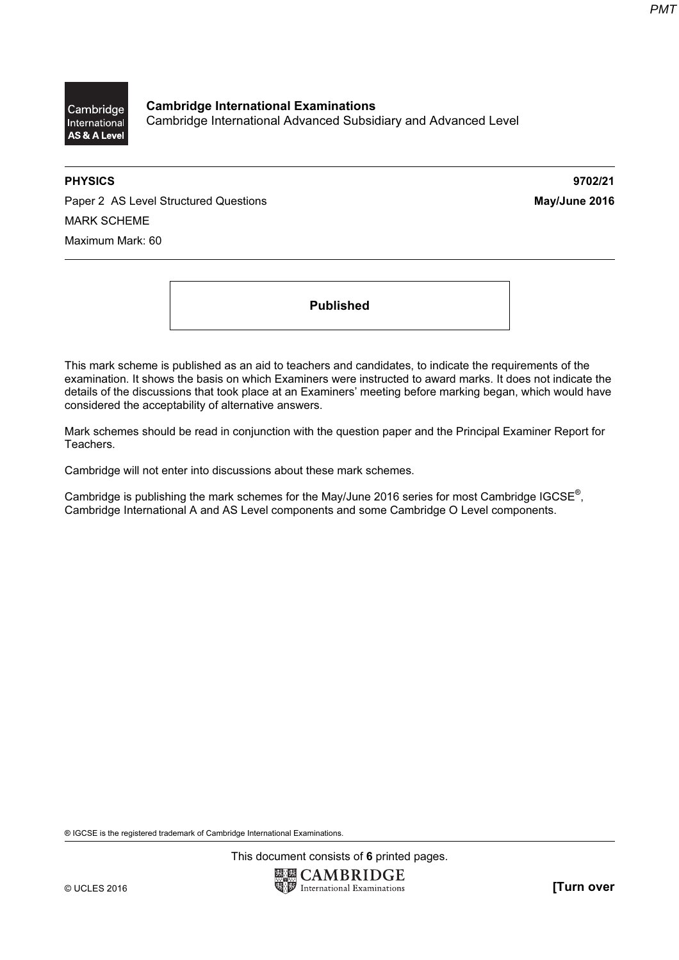

Cambridge International Examinations Cambridge International Advanced Subsidiary and Advanced Level

PHYSICS 9702/21

Paper 2 AS Level Structured Questions May/June 2016 MARK SCHEME Maximum Mark: 60

Published

This mark scheme is published as an aid to teachers and candidates, to indicate the requirements of the examination. It shows the basis on which Examiners were instructed to award marks. It does not indicate the details of the discussions that took place at an Examiners' meeting before marking began, which would have considered the acceptability of alternative answers.

Mark schemes should be read in conjunction with the question paper and the Principal Examiner Report for Teachers.

Cambridge will not enter into discussions about these mark schemes.

Cambridge is publishing the mark schemes for the May/June 2016 series for most Cambridge IGCSE*®* , Cambridge International A and AS Level components and some Cambridge O Level components.

® IGCSE is the registered trademark of Cambridge International Examinations.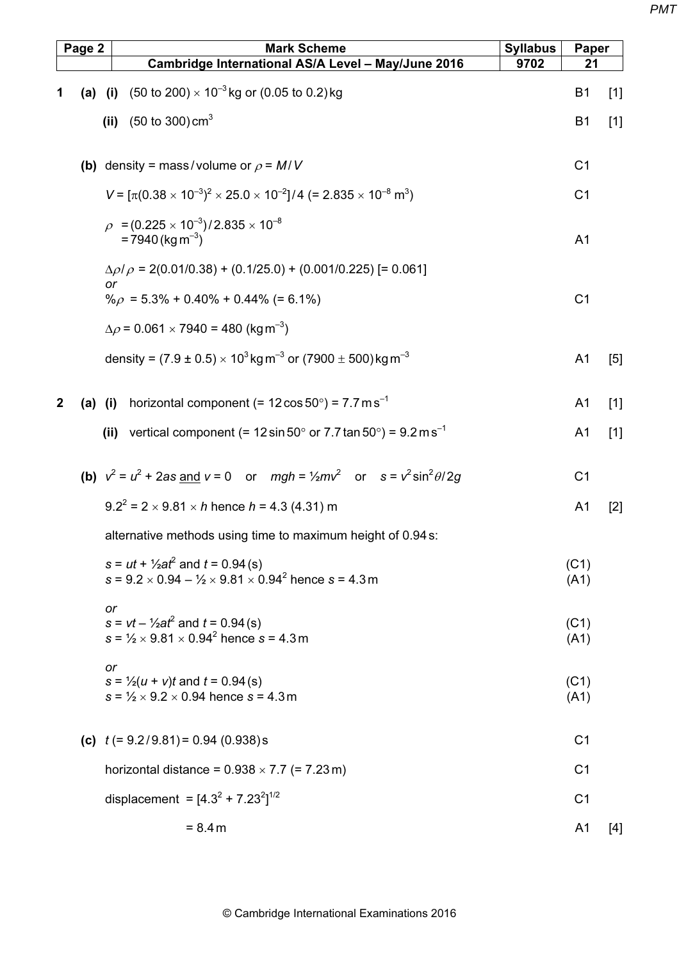| Page 2 | <b>Mark Scheme</b>                                                                                                             | <b>Syllabus</b> | Paper          |       |
|--------|--------------------------------------------------------------------------------------------------------------------------------|-----------------|----------------|-------|
|        | Cambridge International AS/A Level - May/June 2016                                                                             | 9702            | 21             |       |
|        | (a) (i) $(50 \text{ to } 200) \times 10^{-3} \text{ kg or } (0.05 \text{ to } 0.2) \text{ kg}$                                 |                 | B <sub>1</sub> | $[1]$ |
|        | (ii) $(50 \text{ to } 300) \text{ cm}^3$                                                                                       |                 | <b>B1</b>      | $[1]$ |
|        | (b) density = mass/volume or $\rho = M/V$                                                                                      |                 | C <sub>1</sub> |       |
|        | $V = [\pi (0.38 \times 10^{-3})^2 \times 25.0 \times 10^{-2}]/4$ (= 2.835 $\times 10^{-8}$ m <sup>3</sup> )                    |                 | C <sub>1</sub> |       |
|        | $\rho = (0.225 \times 10^{-3})/2.835 \times 10^{-8}$<br>$= 7940$ (kg m <sup>-3</sup> )                                         |                 | A <sub>1</sub> |       |
|        | $\Delta \rho / \rho = 2(0.01/0.38) + (0.1/25.0) + (0.001/0.225)$ [= 0.061]<br>or                                               |                 |                |       |
|        | $\% \rho = 5.3\% + 0.40\% + 0.44\%$ (= 6.1%)                                                                                   |                 | C <sub>1</sub> |       |
|        | $\Delta \rho$ = 0.061 $\times$ 7940 = 480 (kg m <sup>-3</sup> )                                                                |                 |                |       |
|        | density = $(7.9 \pm 0.5) \times 10^3$ kg m <sup>-3</sup> or $(7900 \pm 500)$ kg m <sup>-3</sup>                                |                 | A <sub>1</sub> | $[5]$ |
|        | (a) (i) horizontal component $(= 12 \cos 50^\circ) = 7.7 \text{ m s}^{-1}$                                                     |                 | A <sub>1</sub> | $[1]$ |
|        | (ii) vertical component (= $12 \sin 50^\circ$ or $7.7 \tan 50^\circ$ ) = $9.2 \text{ m s}^{-1}$                                |                 | A <sub>1</sub> | $[1]$ |
|        | <b>(b)</b> $v^2 = u^2 + 2as$ and $v = 0$ or $mgh = \frac{1}{2}mv^2$ or $s = v^2 \sin^2 \theta / 2g$                            |                 | C <sub>1</sub> |       |
|        | $9.2^2 = 2 \times 9.81 \times h$ hence $h = 4.3$ (4.31) m                                                                      |                 | A <sub>1</sub> | $[2]$ |
|        | alternative methods using time to maximum height of 0.94 s:                                                                    |                 |                |       |
|        | $s = ut + \frac{1}{2}at^2$ and $t = 0.94$ (s)<br>s = $9.2 \times 0.94 - \frac{1}{2} \times 9.81 \times 0.94^2$ hence s = 4.3 m |                 | (C1)<br>(A1)   |       |
|        | or<br>$s = vt - V_2at^2$ and $t = 0.94$ (s)<br>$s = \frac{1}{2} \times 9.81 \times 0.94^2$ hence s = 4.3 m                     |                 | (C1)<br>(A1)   |       |
|        | or<br>$s = \frac{1}{2}(u + v)t$ and $t = 0.94$ (s)<br>$s = \frac{1}{2} \times 9.2 \times 0.94$ hence s = 4.3 m                 |                 | (C1)<br>(A1)   |       |
|        | (c) $t (= 9.2/9.81) = 0.94 (0.938)s$                                                                                           |                 | C <sub>1</sub> |       |
|        | horizontal distance = $0.938 \times 7.7$ (= $7.23$ m)                                                                          |                 | C <sub>1</sub> |       |
|        | displacement = $[4.3^2 + 7.23^2]^{1/2}$                                                                                        |                 | C <sub>1</sub> |       |
|        | $= 8.4 m$                                                                                                                      |                 | A <sub>1</sub> | $[4]$ |
|        |                                                                                                                                |                 |                |       |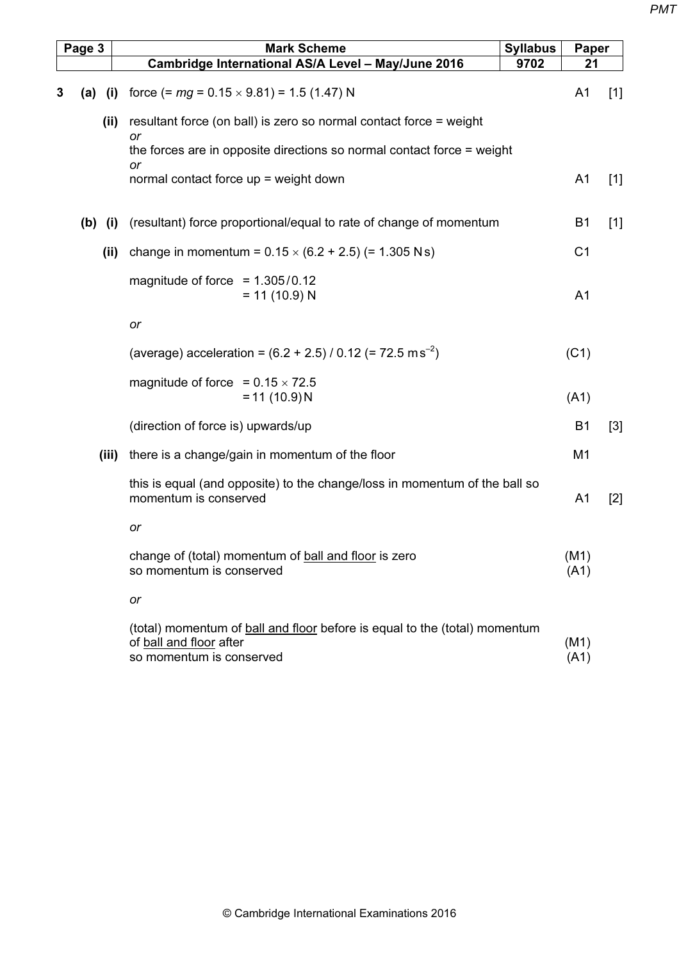|   | Page 3 |           | <b>Mark Scheme</b>                                                                                                                       | <b>Syllabus</b> | Paper          |       |
|---|--------|-----------|------------------------------------------------------------------------------------------------------------------------------------------|-----------------|----------------|-------|
|   |        |           | Cambridge International AS/A Level - May/June 2016                                                                                       | 9702            | 21             |       |
| 3 | (a)    | (i)       | force $(= mg = 0.15 \times 9.81) = 1.5 (1.47) N$                                                                                         |                 | A <sub>1</sub> | $[1]$ |
|   |        | (ii)      | resultant force (on ball) is zero so normal contact force = weight<br>or                                                                 |                 |                |       |
|   |        |           | the forces are in opposite directions so normal contact force = weight                                                                   |                 |                |       |
|   |        |           | or<br>normal contact force up = weight down                                                                                              |                 | A <sub>1</sub> | $[1]$ |
|   |        | $(b)$ (i) | (resultant) force proportional/equal to rate of change of momentum                                                                       |                 | B <sub>1</sub> | $[1]$ |
|   |        | (ii)      | change in momentum = $0.15 \times (6.2 + 2.5)$ (= 1.305 Ns)                                                                              |                 | C <sub>1</sub> |       |
|   |        |           | magnitude of force $= 1.305/0.12$<br>$= 11 (10.9) N$                                                                                     |                 | A <sub>1</sub> |       |
|   |        |           | or                                                                                                                                       |                 |                |       |
|   |        |           | (average) acceleration = $(6.2 + 2.5)$ / 0.12 (= 72.5 m s <sup>-2</sup> )                                                                |                 | (C1)           |       |
|   |        |           | magnitude of force = $0.15 \times 72.5$<br>$= 11 (10.9) N$                                                                               |                 | (A1)           |       |
|   |        |           | (direction of force is) upwards/up                                                                                                       |                 | <b>B1</b>      | $[3]$ |
|   |        | (iii)     | there is a change/gain in momentum of the floor                                                                                          |                 | M1             |       |
|   |        |           | this is equal (and opposite) to the change/loss in momentum of the ball so<br>momentum is conserved                                      |                 | A <sub>1</sub> | $[2]$ |
|   |        |           | or                                                                                                                                       |                 |                |       |
|   |        |           | change of (total) momentum of ball and floor is zero<br>so momentum is conserved                                                         |                 | (M1)<br>(A1)   |       |
|   |        |           | or                                                                                                                                       |                 |                |       |
|   |        |           | (total) momentum of <b>ball and floor</b> before is equal to the (total) momentum<br>of ball and floor after<br>so momentum is conserved |                 | (M1)<br>(A1)   |       |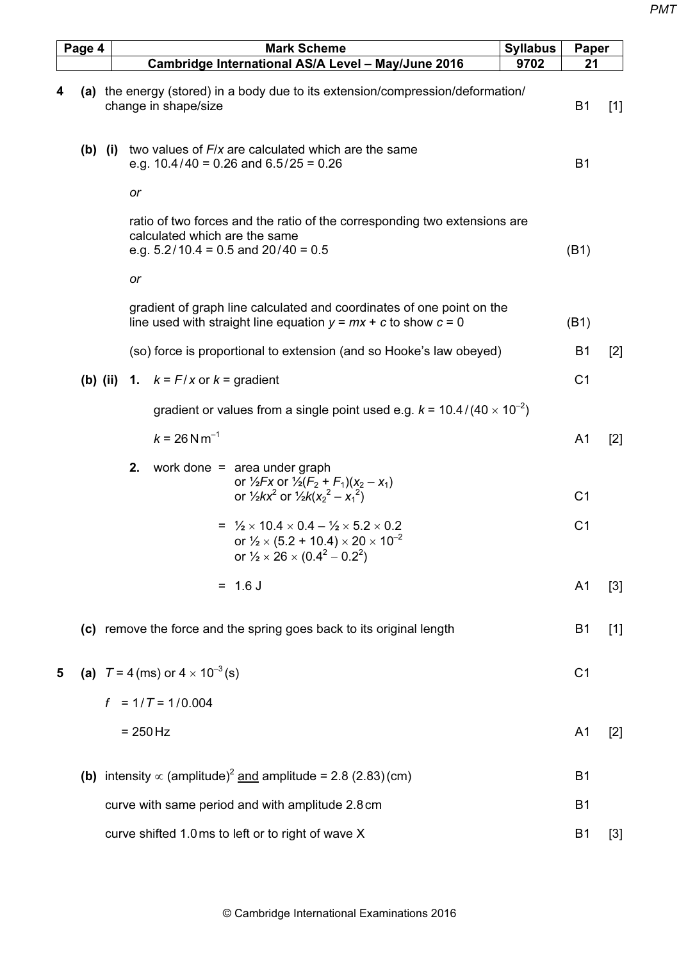|   | Page 4 |          | <b>Mark Scheme</b>                                                                                                                                                                               | <b>Syllabus</b> | Paper          |       |
|---|--------|----------|--------------------------------------------------------------------------------------------------------------------------------------------------------------------------------------------------|-----------------|----------------|-------|
|   |        |          | Cambridge International AS/A Level - May/June 2016                                                                                                                                               | 9702            | 21             |       |
| 4 |        |          | (a) the energy (stored) in a body due to its extension/compression/deformation/<br>change in shape/size                                                                                          |                 | <b>B1</b>      | $[1]$ |
|   |        |          | (b) (i) two values of $F/x$ are calculated which are the same<br>e.g. $10.4/40 = 0.26$ and $6.5/25 = 0.26$                                                                                       |                 | <b>B1</b>      |       |
|   |        |          | or                                                                                                                                                                                               |                 |                |       |
|   |        |          | ratio of two forces and the ratio of the corresponding two extensions are<br>calculated which are the same<br>e.g. $5.2/10.4 = 0.5$ and $20/40 = 0.5$                                            |                 | (B1)           |       |
|   |        |          | or                                                                                                                                                                                               |                 |                |       |
|   |        |          | gradient of graph line calculated and coordinates of one point on the<br>line used with straight line equation $y = mx + c$ to show $c = 0$                                                      |                 | (B1)           |       |
|   |        |          | (so) force is proportional to extension (and so Hooke's law obeyed)                                                                                                                              |                 | B <sub>1</sub> | $[2]$ |
|   |        | (b) (ii) | 1. $k = F/x$ or $k =$ gradient                                                                                                                                                                   |                 | C <sub>1</sub> |       |
|   |        |          | gradient or values from a single point used e.g. $k = 10.4/(40 \times 10^{-2})$                                                                                                                  |                 |                |       |
|   |        |          | $k = 26$ N m <sup>-1</sup>                                                                                                                                                                       |                 | A <sub>1</sub> | $[2]$ |
|   |        |          | 2.<br>work done $=$ area under graph<br>or $\frac{1}{2}Fx$ or $\frac{1}{2}(F_2 + F_1)(x_2 - x_1)$<br>or $\frac{1}{2}kx^2$ or $\frac{1}{2}k(x^2 - x^2)$                                           |                 | C <sub>1</sub> |       |
|   |        |          | = $\frac{1}{2} \times 10.4 \times 0.4 - \frac{1}{2} \times 5.2 \times 0.2$<br>or $\frac{1}{2} \times (5.2 + 10.4) \times 20 \times 10^{-2}$<br>or $\frac{1}{2} \times 26 \times (0.4^2 - 0.2^2)$ |                 | C <sub>1</sub> |       |
|   |        |          | $= 1.6 J$                                                                                                                                                                                        |                 | A <sub>1</sub> | $[3]$ |
|   |        |          | (c) remove the force and the spring goes back to its original length                                                                                                                             |                 | <b>B1</b>      | $[1]$ |
| 5 |        |          | (a) $T = 4$ (ms) or $4 \times 10^{-3}$ (s)                                                                                                                                                       |                 | C <sub>1</sub> |       |
|   |        |          | $f = 1/T = 1/0.004$                                                                                                                                                                              |                 |                |       |
|   |        |          | $= 250$ Hz                                                                                                                                                                                       |                 | A <sub>1</sub> | $[2]$ |
|   |        |          | <b>(b)</b> intensity $\propto$ (amplitude) <sup>2</sup> and amplitude = 2.8 (2.83)(cm)                                                                                                           |                 | <b>B1</b>      |       |
|   |        |          | curve with same period and with amplitude 2.8 cm                                                                                                                                                 |                 | B <sub>1</sub> |       |
|   |        |          | curve shifted 1.0 ms to left or to right of wave X                                                                                                                                               |                 | B <sub>1</sub> | $[3]$ |
|   |        |          |                                                                                                                                                                                                  |                 |                |       |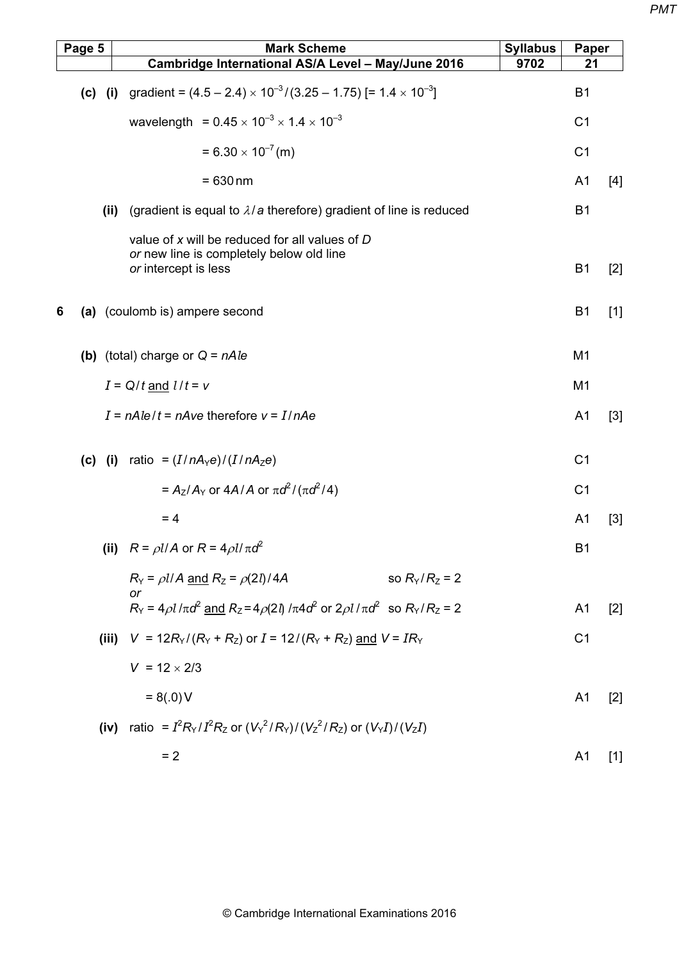|   | Page 5 |      | <b>Mark Scheme</b>                                                                                                 | <b>Syllabus</b> | Paper          |       |
|---|--------|------|--------------------------------------------------------------------------------------------------------------------|-----------------|----------------|-------|
|   |        |      | Cambridge International AS/A Level - May/June 2016                                                                 | 9702            | 21             |       |
|   |        |      | (c) (i) gradient = $(4.5 - 2.4) \times 10^{-3} / (3.25 - 1.75)$ [= $1.4 \times 10^{-3}$ ]                          |                 | <b>B1</b>      |       |
|   |        |      | wavelength = $0.45 \times 10^{-3} \times 1.4 \times 10^{-3}$                                                       |                 | C <sub>1</sub> |       |
|   |        |      | $= 6.30 \times 10^{-7}$ (m)                                                                                        |                 | C <sub>1</sub> |       |
|   |        |      | $= 630$ nm                                                                                                         |                 | A <sub>1</sub> | $[4]$ |
|   |        | (ii) | (gradient is equal to $\lambda/a$ therefore) gradient of line is reduced                                           |                 | <b>B1</b>      |       |
|   |        |      | value of x will be reduced for all values of D<br>or new line is completely below old line<br>or intercept is less |                 | <b>B1</b>      | $[2]$ |
| 6 |        |      | (a) (coulomb is) ampere second                                                                                     |                 | B <sub>1</sub> | $[1]$ |
|   |        |      | (b) (total) charge or $Q = nAle$                                                                                   |                 | M <sub>1</sub> |       |
|   |        |      | $I = Q/t$ and $l/t = v$                                                                                            |                 | M <sub>1</sub> |       |
|   |        |      | $I = nAle/t = nAve$ therefore $v = I/nAe$                                                                          |                 | A <sub>1</sub> | $[3]$ |
|   |        |      | (c) (i) ratio = $(I/nA_{\gamma}e)/(I/nA_{Z}e)$                                                                     |                 | C <sub>1</sub> |       |
|   |        |      | = $A_7/A_7$ or $4A/A$ or $\pi d^2/(\pi d^2/4)$                                                                     |                 | C <sub>1</sub> |       |
|   |        |      | $= 4$                                                                                                              |                 | A <sub>1</sub> | $[3]$ |
|   |        |      | (ii) $R = \rho l/A$ or $R = 4\rho l/\pi d^2$                                                                       |                 | <b>B1</b>      |       |
|   |        |      | $R_Y = \rho l/A$ and $R_Z = \rho(2l)/4A$<br>so $R_Y/R_Z = 2$<br>or                                                 |                 |                |       |
|   |        |      | $R_Y = 4\rho l/\pi d^2$ and $R_Z = 4\rho(2l)/\pi 4d^2$ or $2\rho l/\pi d^2$ so $R_Y/R_Z = 2$                       |                 | A <sub>1</sub> | $[2]$ |
|   |        |      | (iii) $V = 12R_Y/(R_Y + R_Z)$ or $I = 12/(R_Y + R_Z)$ and $V = IR_Y$                                               |                 | C <sub>1</sub> |       |
|   |        |      | $V = 12 \times 2/3$                                                                                                |                 |                |       |
|   |        |      | $= 8(.0)$ V                                                                                                        |                 | A <sub>1</sub> | $[2]$ |
|   |        | (iv) | ratio = $I^2 R_Y/I^2 R_Z$ or $(V_Y^2/R_Y)/(V_Z^2/R_Z)$ or $(V_Y I)/(V_Z I)$                                        |                 |                |       |
|   |        |      | $= 2$                                                                                                              |                 | A <sub>1</sub> | $[1]$ |
|   |        |      |                                                                                                                    |                 |                |       |